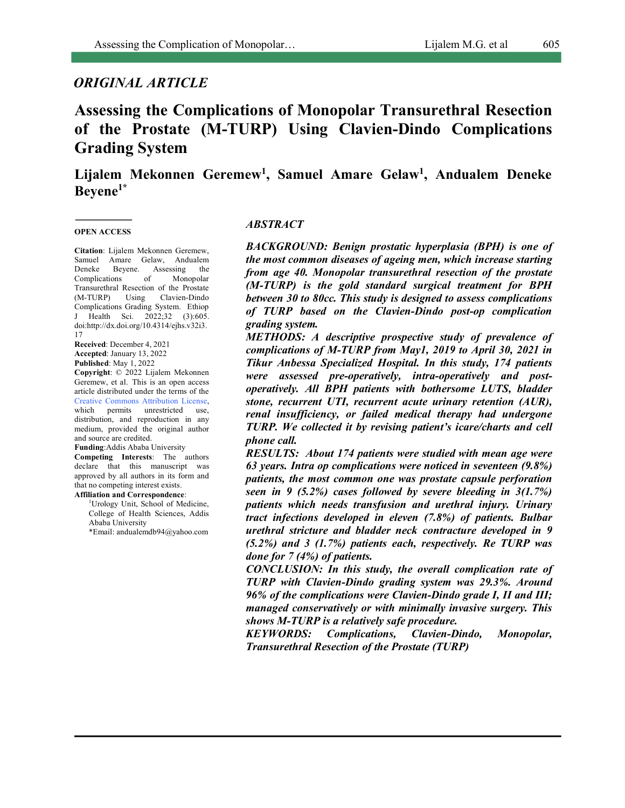## *ORIGINAL ARTICLE*

# **Assessing the Complications of Monopolar Transurethral Resection of the Prostate (M-TURP) Using Clavien-Dindo Complications Grading System**

Lijalem Mekonnen Geremew<sup>1</sup>, Samuel Amare Gelaw<sup>1</sup>, Andualem Deneke **Beyene1\***

#### **OPEN ACCESS**

**Citation**: Lijalem Mekonnen Geremew, Samuel Amare Gelaw, Andualem Deneke Beyene. Assessing the Complications of Monopolar Transurethral Resection of the Prostate (M-TURP) Using Clavien-Dindo Complications Grading System. Ethiop J Health Sci. 2022;32 (3):605. doi:http://dx.doi.org/10.4314/ejhs.v32i3. 17

**Received**: December 4, 2021 **Accepted**: January 13, 2022 **Published**: May 1, 2022

**Copyright**: © 2022 Lijalem Mekonnen Geremew, et al. This is an open access article distributed under the terms of the Creative Commons Attribution License, which permits unrestricted use, distribution, and reproduction in any medium, provided the original author and source are credited.

**Funding**:Addis Ababa University **Competing Interests**: The authors declare that this manuscript was approved by all authors in its form and that no competing interest exists.

**Affiliation and Correspondence**: <sup>1</sup>Urology Unit, School of Medicine, College of Health Sciences, Addis Ababa University

\*Email: andualemdb94@yahoo.com

#### *ABSTRACT*

*BACKGROUND: Benign prostatic hyperplasia (BPH) is one of the most common diseases of ageing men, which increase starting from age 40. Monopolar transurethral resection of the prostate (M-TURP) is the gold standard surgical treatment for BPH between 30 to 80cc. This study is designed to assess complications of TURP based on the Clavien-Dindo post-op complication grading system.* 

*METHODS: A descriptive prospective study of prevalence of complications of M-TURP from May1, 2019 to April 30, 2021 in Tikur Anbessa Specialized Hospital. In this study, 174 patients were assessed pre-operatively, intra-operatively and postoperatively. All BPH patients with bothersome LUTS, bladder stone, recurrent UTI, recurrent acute urinary retention (AUR), renal insufficiency, or failed medical therapy had undergone TURP. We collected it by revising patient's icare/charts and cell phone call.*

*RESULTS: About 174 patients were studied with mean age were 63 years. Intra op complications were noticed in seventeen (9.8%) patients, the most common one was prostate capsule perforation seen in 9 (5.2%) cases followed by severe bleeding in 3(1.7%) patients which needs transfusion and urethral injury. Urinary tract infections developed in eleven (7.8%) of patients. Bulbar urethral stricture and bladder neck contracture developed in 9 (5.2%) and 3 (1.7%) patients each, respectively. Re TURP was done for 7 (4%) of patients.*

*CONCLUSION: In this study, the overall complication rate of TURP with Clavien-Dindo grading system was 29.3%. Around 96% of the complications were Clavien-Dindo grade I, II and III; managed conservatively or with minimally invasive surgery. This shows M-TURP is a relatively safe procedure.*

*KEYWORDS: Complications, Clavien-Dindo, Monopolar, Transurethral Resection of the Prostate (TURP)*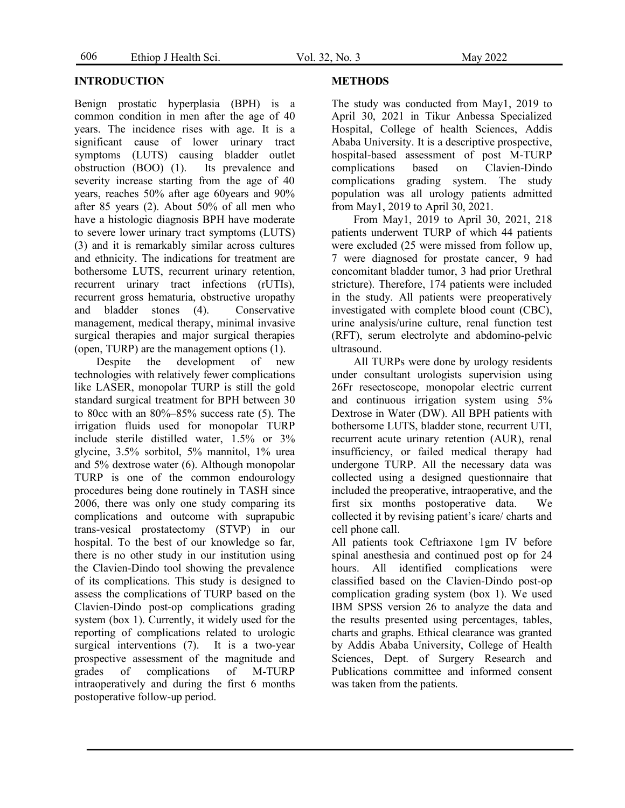#### **INTRODUCTION**

Benign prostatic hyperplasia (BPH) is a common condition in men after the age of 40 years. The incidence rises with age. It is a significant cause of lower urinary tract symptoms (LUTS) causing bladder outlet obstruction (BOO) (1). Its prevalence and severity increase starting from the age of 40 years, reaches 50% after age 60years and 90% after 85 years (2). About 50% of all men who have a histologic diagnosis BPH have moderate to severe lower urinary tract symptoms (LUTS) (3) and it is remarkably similar across cultures and ethnicity. The indications for treatment are bothersome LUTS, recurrent urinary retention, recurrent urinary tract infections (rUTIs), recurrent gross hematuria, obstructive uropathy and bladder stones (4). Conservative management, medical therapy, minimal invasive surgical therapies and major surgical therapies (open, TURP) are the management options (1).

Despite the development of new technologies with relatively fewer complications like LASER, monopolar TURP is still the gold standard surgical treatment for BPH between 30 to 80cc with an 80%–85% success rate (5). The irrigation fluids used for monopolar TURP include sterile distilled water, 1.5% or 3% glycine, 3.5% sorbitol, 5% mannitol, 1% urea and 5% dextrose water (6). Although monopolar TURP is one of the common endourology procedures being done routinely in TASH since 2006, there was only one study comparing its complications and outcome with suprapubic trans-vesical prostatectomy (STVP) in our hospital. To the best of our knowledge so far, there is no other study in our institution using the Clavien-Dindo tool showing the prevalence of its complications. This study is designed to assess the complications of TURP based on the Clavien-Dindo post-op complications grading system (box 1). Currently, it widely used for the reporting of complications related to urologic surgical interventions (7). It is a two-year prospective assessment of the magnitude and grades of complications of M-TURP intraoperatively and during the first 6 months postoperative follow-up period.

#### **METHODS**

The study was conducted from May1, 2019 to April 30, 2021 in Tikur Anbessa Specialized Hospital, College of health Sciences, Addis Ababa University. It is a descriptive prospective, hospital-based assessment of post M-TURP complications based on Clavien-Dindo complications grading system. The study population was all urology patients admitted from May1, 2019 to April 30, 2021.

From May1, 2019 to April 30, 2021, 218 patients underwent TURP of which 44 patients were excluded (25 were missed from follow up, 7 were diagnosed for prostate cancer, 9 had concomitant bladder tumor, 3 had prior Urethral stricture). Therefore, 174 patients were included in the study. All patients were preoperatively investigated with complete blood count (CBC), urine analysis/urine culture, renal function test (RFT), serum electrolyte and abdomino-pelvic ultrasound.

All TURPs were done by urology residents under consultant urologists supervision using 26Fr resectoscope, monopolar electric current and continuous irrigation system using 5% Dextrose in Water (DW). All BPH patients with bothersome LUTS, bladder stone, recurrent UTI, recurrent acute urinary retention (AUR), renal insufficiency, or failed medical therapy had undergone TURP. All the necessary data was collected using a designed questionnaire that included the preoperative, intraoperative, and the first six months postoperative data. We collected it by revising patient's icare/ charts and cell phone call.

All patients took Ceftriaxone 1gm IV before spinal anesthesia and continued post op for 24 hours. All identified complications were classified based on the Clavien-Dindo post-op complication grading system (box 1). We used IBM SPSS version 26 to analyze the data and the results presented using percentages, tables, charts and graphs. Ethical clearance was granted by Addis Ababa University, College of Health Sciences, Dept. of Surgery Research and Publications committee and informed consent was taken from the patients.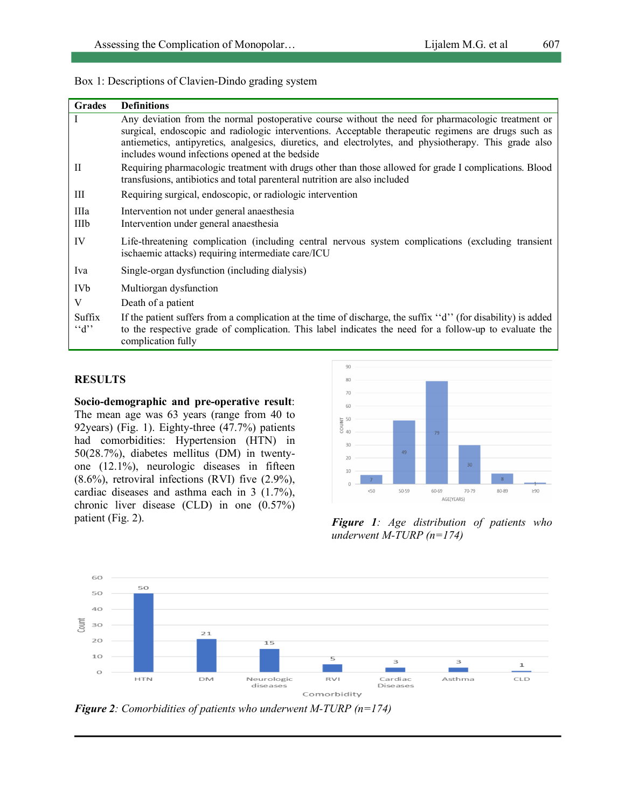|  |  |  |  |  |  |  | Box 1: Descriptions of Clavien-Dindo grading system |  |
|--|--|--|--|--|--|--|-----------------------------------------------------|--|
|--|--|--|--|--|--|--|-----------------------------------------------------|--|

| <b>Grades</b>          | <b>Definitions</b>                                                                                                                                                                                                                                                                                                                                                      |
|------------------------|-------------------------------------------------------------------------------------------------------------------------------------------------------------------------------------------------------------------------------------------------------------------------------------------------------------------------------------------------------------------------|
|                        | Any deviation from the normal postoperative course without the need for pharmacologic treatment or<br>surgical, endoscopic and radiologic interventions. Acceptable therapeutic regimens are drugs such as<br>antiemetics, antipyretics, analgesics, diuretics, and electrolytes, and physiotherapy. This grade also<br>includes wound infections opened at the bedside |
| П                      | Requiring pharmacologic treatment with drugs other than those allowed for grade I complications. Blood<br>transfusions, antibiotics and total parenteral nutrition are also included                                                                                                                                                                                    |
| Ш                      | Requiring surgical, endoscopic, or radiologic intervention                                                                                                                                                                                                                                                                                                              |
| IIIa<br>IIIb           | Intervention not under general anaesthesia<br>Intervention under general anaesthesia                                                                                                                                                                                                                                                                                    |
| IV                     | Life-threatening complication (including central nervous system complications (excluding transient<br>ischaemic attacks) requiring intermediate care/ICU                                                                                                                                                                                                                |
| Iva                    | Single-organ dysfunction (including dialysis)                                                                                                                                                                                                                                                                                                                           |
| <b>IVb</b>             | Multiorgan dysfunction                                                                                                                                                                                                                                                                                                                                                  |
| V                      | Death of a patient                                                                                                                                                                                                                                                                                                                                                      |
| Suffix<br>$G^{\prime}$ | If the patient suffers from a complication at the time of discharge, the suffix "d" (for disability) is added<br>to the respective grade of complication. This label indicates the need for a follow-up to evaluate the<br>complication fully                                                                                                                           |

#### **RESULTS**

**Socio-demographic and pre-operative result**: The mean age was 63 years (range from 40 to 92years) (Fig. 1). Eighty-three (47.7%) patients had comorbidities: Hypertension (HTN) in 50(28.7%), diabetes mellitus (DM) in twentyone (12.1%), neurologic diseases in fifteen  $(8.6\%)$ , retroviral infections (RVI) five  $(2.9\%)$ , cardiac diseases and asthma each in 3 (1.7%), chronic liver disease (CLD) in one (0.57%) patient (Fig. 2). *Figure 1: Age distribution of patients who* 



*underwent M-TURP (n=174)*



*Figure 2: Comorbidities of patients who underwent M-TURP (n=174)*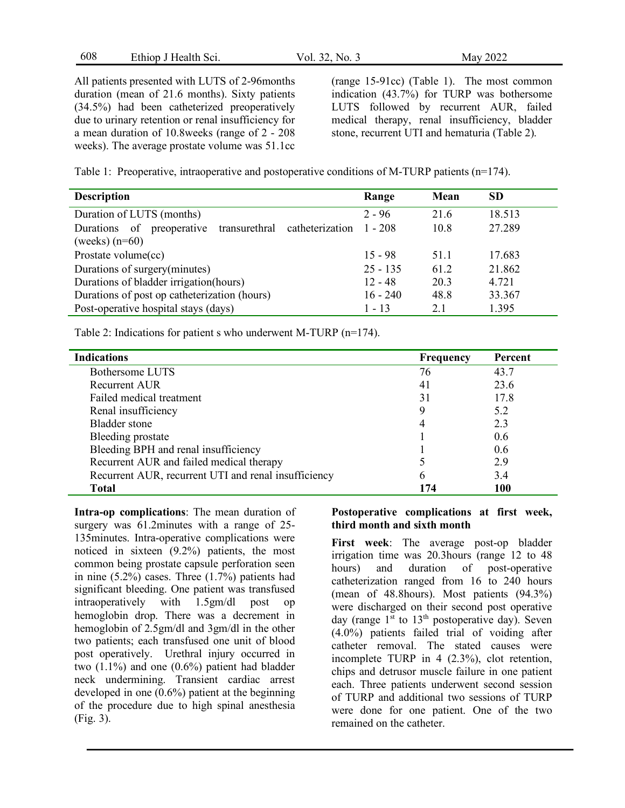| 608<br>Ethiop J Health Sci.<br>Vol. $32.1$<br>$\sim$ No. $\sim$ | 2022<br>Mav |
|-----------------------------------------------------------------|-------------|
|-----------------------------------------------------------------|-------------|

All patients presented with LUTS of 2-96months duration (mean of 21.6 months). Sixty patients (34.5%) had been catheterized preoperatively due to urinary retention or renal insufficiency for a mean duration of 10.8weeks (range of 2 - 208 weeks). The average prostate volume was 51.1cc (range 15-91cc) (Table 1). The most common indication (43.7%) for TURP was bothersome LUTS followed by recurrent AUR, failed medical therapy, renal insufficiency, bladder stone, recurrent UTI and hematuria (Table 2).

Table 1: Preoperative, intraoperative and postoperative conditions of M-TURP patients (n=174).

| <b>Description</b>                                            | Range      | Mean | <b>SD</b> |
|---------------------------------------------------------------|------------|------|-----------|
| Duration of LUTS (months)                                     | $2 - 96$   | 21.6 | 18.513    |
| of<br>preoperative transurethral catheterization<br>Durations | $1 - 208$  | 10.8 | 27.289    |
| (weeks) $(n=60)$                                              |            |      |           |
| Prostate volume(cc)                                           | $15 - 98$  | 51.1 | 17.683    |
| Durations of surgery(minutes)                                 | $25 - 135$ | 61.2 | 21.862    |
| Durations of bladder irrigation (hours)                       | $12 - 48$  | 20.3 | 4.721     |
| Durations of post op catheterization (hours)                  | $16 - 240$ | 48.8 | 33.367    |
| Post-operative hospital stays (days)                          | $1 - 13$   | 2.1  | 1.395     |

Table 2: Indications for patient s who underwent M-TURP (n=174).

| <b>Indications</b>                                   | Frequency | Percent |
|------------------------------------------------------|-----------|---------|
| Bothersome LUTS                                      | 76        | 43.7    |
| Recurrent AUR                                        | 41        | 23.6    |
| Failed medical treatment                             | 31        | 17.8    |
| Renal insufficiency                                  |           | 5.2     |
| Bladder stone                                        | 4         | 2.3     |
| Bleeding prostate                                    |           | 0.6     |
| Bleeding BPH and renal insufficiency                 |           | 0.6     |
| Recurrent AUR and failed medical therapy             |           | 2.9     |
| Recurrent AUR, recurrent UTI and renal insufficiency | 6         | 3.4     |
| <b>Total</b>                                         | 174       | 100     |

**Intra-op complications**: The mean duration of surgery was 61.2minutes with a range of 25- 135minutes. Intra-operative complications were noticed in sixteen (9.2%) patients, the most common being prostate capsule perforation seen in nine (5.2%) cases. Three (1.7%) patients had significant bleeding. One patient was transfused intraoperatively with 1.5gm/dl post op hemoglobin drop. There was a decrement in hemoglobin of 2.5gm/dl and 3gm/dl in the other two patients; each transfused one unit of blood post operatively. Urethral injury occurred in two  $(1.1\%)$  and one  $(0.6\%)$  patient had bladder neck undermining. Transient cardiac arrest developed in one (0.6%) patient at the beginning of the procedure due to high spinal anesthesia (Fig. 3).

#### **Postoperative complications at first week, third month and sixth month**

**First week**: The average post-op bladder irrigation time was 20.3hours (range 12 to 48 hours) and duration of post-operative catheterization ranged from 16 to 240 hours (mean of 48.8hours). Most patients (94.3%) were discharged on their second post operative day (range  $1<sup>st</sup>$  to  $13<sup>th</sup>$  postoperative day). Seven (4.0%) patients failed trial of voiding after catheter removal. The stated causes were incomplete TURP in 4 (2.3%), clot retention, chips and detrusor muscle failure in one patient each. Three patients underwent second session of TURP and additional two sessions of TURP were done for one patient. One of the two remained on the catheter.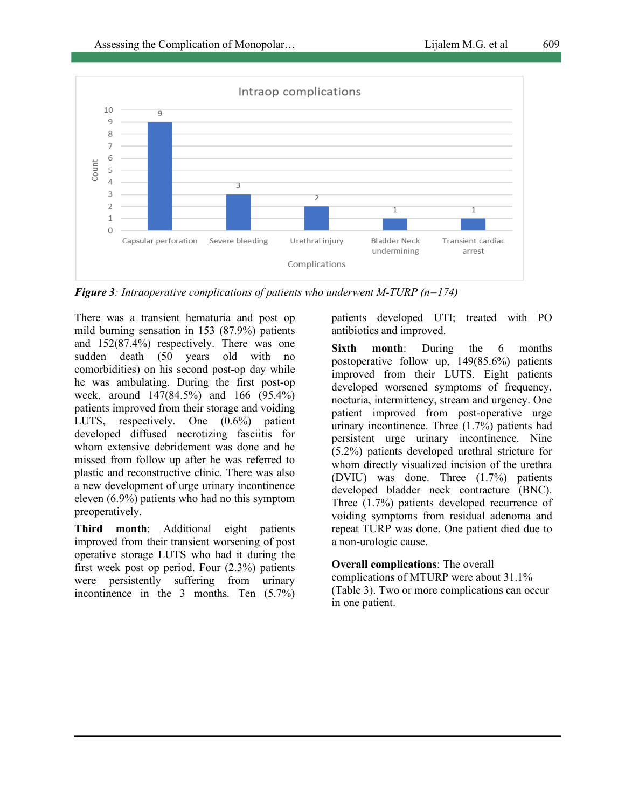

*Figure 3: Intraoperative complications of patients who underwent M-TURP (n=174)*

There was a transient hematuria and post op mild burning sensation in 153 (87.9%) patients and 152(87.4%) respectively. There was one sudden death (50 years old with no comorbidities) on his second post-op day while he was ambulating. During the first post-op week, around 147(84.5%) and 166 (95.4%) patients improved from their storage and voiding LUTS, respectively. One (0.6%) patient developed diffused necrotizing fasciitis for whom extensive debridement was done and he missed from follow up after he was referred to plastic and reconstructive clinic. There was also a new development of urge urinary incontinence eleven (6.9%) patients who had no this symptom preoperatively.

**Third month**: Additional eight patients improved from their transient worsening of post operative storage LUTS who had it during the first week post op period. Four (2.3%) patients were persistently suffering from urinary incontinence in the 3 months. Ten (5.7%) patients developed UTI; treated with PO antibiotics and improved.

**Sixth month**: During the 6 months postoperative follow up, 149(85.6%) patients improved from their LUTS. Eight patients developed worsened symptoms of frequency, nocturia, intermittency, stream and urgency. One patient improved from post-operative urge urinary incontinence. Three (1.7%) patients had persistent urge urinary incontinence. Nine (5.2%) patients developed urethral stricture for whom directly visualized incision of the urethra (DVIU) was done. Three (1.7%) patients developed bladder neck contracture (BNC). Three (1.7%) patients developed recurrence of voiding symptoms from residual adenoma and repeat TURP was done. One patient died due to a non-urologic cause.

**Overall complications**: The overall complications of MTURP were about 31.1% (Table 3). Two or more complications can occur in one patient.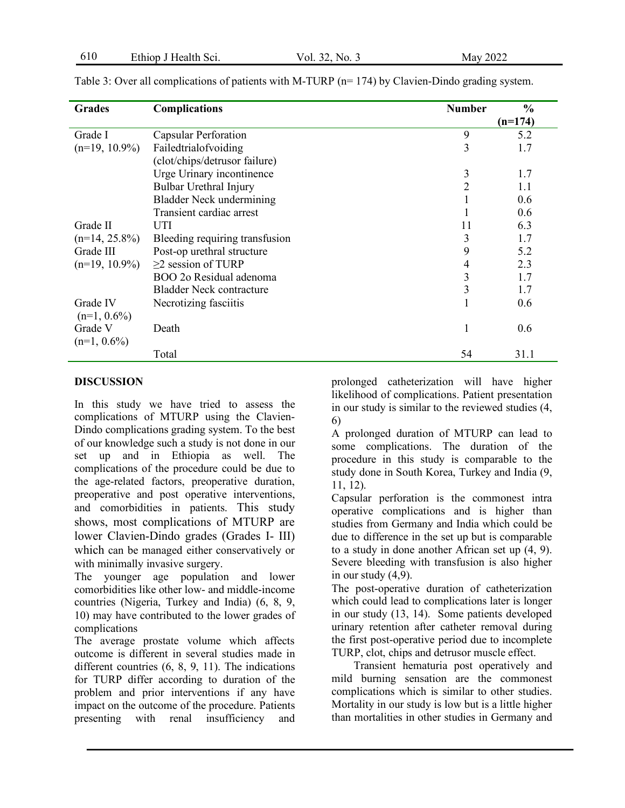| <b>Grades</b>              | <b>Complications</b>            | <b>Number</b>  | $\frac{0}{0}$ |
|----------------------------|---------------------------------|----------------|---------------|
|                            |                                 |                | $(n=174)$     |
| Grade I                    | Capsular Perforation            | 9              | 5.2           |
| $(n=19, 10.9\%)$           | Failedtrialofvoiding            | 3              | 1.7           |
|                            | (clot/chips/detrusor failure)   |                |               |
|                            | Urge Urinary incontinence       | 3              | 1.7           |
|                            | Bulbar Urethral Injury          | $\overline{2}$ | 1.1           |
|                            | <b>Bladder Neck undermining</b> |                | 0.6           |
|                            | Transient cardiac arrest        |                | 0.6           |
| Grade II                   | UTI                             | 11             | 6.3           |
| $(n=14, 25.8\%)$           | Bleeding requiring transfusion  | 3              | 1.7           |
| Grade III                  | Post-op urethral structure      | 9              | 5.2           |
| $(n=19, 10.9\%)$           | $\geq$ 2 session of TURP        | 4              | 2.3           |
|                            | BOO 20 Residual adenoma         | 3              | 1.7           |
|                            | <b>Bladder Neck contracture</b> | 3              | 1.7           |
| Grade IV<br>$(n=1, 0.6\%)$ | Necrotizing fasciitis           |                | 0.6           |
| Grade V<br>$(n=1, 0.6\%)$  | Death                           |                | 0.6           |
|                            | Total                           | 54             | 31.1          |

Table 3: Over all complications of patients with M-TURP (n= 174) by Clavien-Dindo grading system.

### **DISCUSSION**

In this study we have tried to assess the complications of MTURP using the Clavien-Dindo complications grading system. To the best of our knowledge such a study is not done in our set up and in Ethiopia as well. The complications of the procedure could be due to the age-related factors, preoperative duration, preoperative and post operative interventions, and comorbidities in patients. This study shows, most complications of MTURP are lower Clavien-Dindo grades (Grades I- III) which can be managed either conservatively or with minimally invasive surgery.

The younger age population and lower comorbidities like other low- and middle-income countries (Nigeria, Turkey and India) (6, 8, 9, 10) may have contributed to the lower grades of complications

The average prostate volume which affects outcome is different in several studies made in different countries (6, 8, 9, 11). The indications for TURP differ according to duration of the problem and prior interventions if any have impact on the outcome of the procedure. Patients presenting with renal insufficiency and prolonged catheterization will have higher likelihood of complications. Patient presentation in our study is similar to the reviewed studies (4, 6)

A prolonged duration of MTURP can lead to some complications. The duration of the procedure in this study is comparable to the study done in South Korea, Turkey and India (9, 11, 12).

Capsular perforation is the commonest intra operative complications and is higher than studies from Germany and India which could be due to difference in the set up but is comparable to a study in done another African set up (4, 9). Severe bleeding with transfusion is also higher in our study (4,9).

The post-operative duration of catheterization which could lead to complications later is longer in our study (13, 14). Some patients developed urinary retention after catheter removal during the first post-operative period due to incomplete TURP, clot, chips and detrusor muscle effect.

Transient hematuria post operatively and mild burning sensation are the commonest complications which is similar to other studies. Mortality in our study is low but is a little higher than mortalities in other studies in Germany and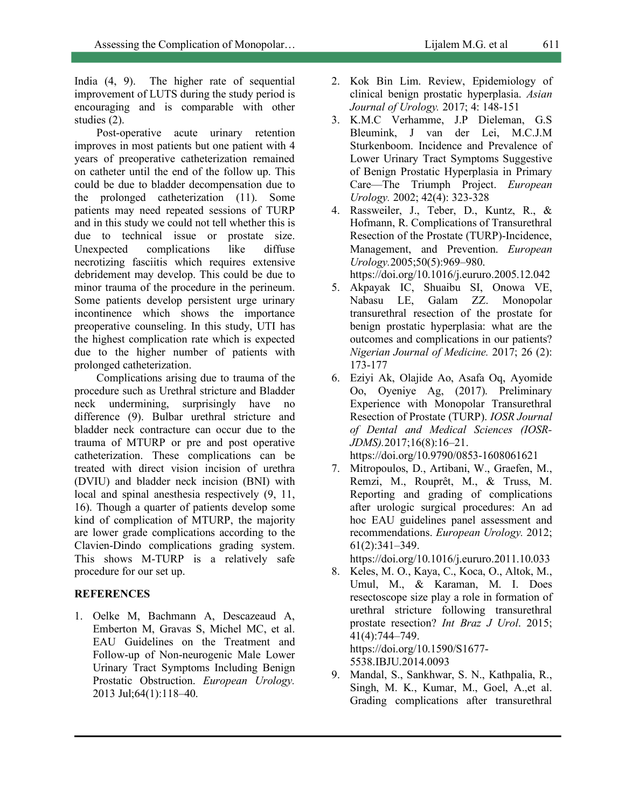India (4, 9). The higher rate of sequential improvement of LUTS during the study period is encouraging and is comparable with other studies (2).

Post-operative acute urinary retention improves in most patients but one patient with 4 years of preoperative catheterization remained on catheter until the end of the follow up. This could be due to bladder decompensation due to the prolonged catheterization (11). Some patients may need repeated sessions of TURP and in this study we could not tell whether this is due to technical issue or prostate size. Unexpected complications like diffuse necrotizing fasciitis which requires extensive debridement may develop. This could be due to minor trauma of the procedure in the perineum. Some patients develop persistent urge urinary incontinence which shows the importance preoperative counseling. In this study, UTI has the highest complication rate which is expected due to the higher number of patients with prolonged catheterization.

Complications arising due to trauma of the procedure such as Urethral stricture and Bladder neck undermining, surprisingly have no difference (9). Bulbar urethral stricture and bladder neck contracture can occur due to the trauma of MTURP or pre and post operative catheterization. These complications can be treated with direct vision incision of urethra (DVIU) and bladder neck incision (BNI) with local and spinal anesthesia respectively (9, 11, 16). Though a quarter of patients develop some kind of complication of MTURP, the majority are lower grade complications according to the Clavien-Dindo complications grading system. This shows M-TURP is a relatively safe procedure for our set up.

#### **REFERENCES**

1. Oelke M, Bachmann A, Descazeaud A, Emberton M, Gravas S, Michel MC, et al. EAU Guidelines on the Treatment and Follow-up of Non-neurogenic Male Lower Urinary Tract Symptoms Including Benign Prostatic Obstruction. *European Urology.* 2013 Jul;64(1):118–40.

- 2. Kok Bin Lim. Review, Epidemiology of clinical benign prostatic hyperplasia. *Asian Journal of Urology.* 2017; 4: 148-151
- 3. K.M.C Verhamme, J.P Dieleman, G.S Bleumink, J van der Lei, M.C.J.M Sturkenboom. Incidence and Prevalence of Lower Urinary Tract Symptoms Suggestive of Benign Prostatic Hyperplasia in Primary Care—The Triumph Project. *European Urology.* 2002; 42(4): 323-328
- 4. Rassweiler, J., Teber, D., Kuntz, R., & Hofmann, R. Complications of Transurethral Resection of the Prostate (TURP)-Incidence, Management, and Prevention. *European Urology.*2005;50(5):969–980.

https://doi.org/10.1016/j.eururo.2005.12.042

- 5. Akpayak IC, Shuaibu SI, Onowa VE, Nabasu LE, Galam ZZ. Monopolar transurethral resection of the prostate for benign prostatic hyperplasia: what are the outcomes and complications in our patients? *Nigerian Journal of Medicine.* 2017; 26 (2): 173-177
- 6. Eziyi Ak, Olajide Ao, Asafa Oq, Ayomide Oo, Oyeniye Ag, (2017). Preliminary Experience with Monopolar Transurethral Resection of Prostate (TURP). *IOSR Journal of Dental and Medical Sciences (IOSR-JDMS).*2017;16(8):16–21.

https://doi.org/10.9790/0853-1608061621

7. Mitropoulos, D., Artibani, W., Graefen, M., Remzi, M., Rouprêt, M., & Truss, M. Reporting and grading of complications after urologic surgical procedures: An ad hoc EAU guidelines panel assessment and recommendations. *European Urology.* 2012; 61(2):341–349.

https://doi.org/10.1016/j.eururo.2011.10.033

8. Keles, M. O., Kaya, C., Koca, O., Altok, M., Umul, M., & Karaman, M. I. Does resectoscope size play a role in formation of urethral stricture following transurethral prostate resection? *Int Braz J Urol*. 2015; 41(4):744–749. https://doi.org/10.1590/S1677- 5538.IBJU.2014.0093

9. Mandal, S., Sankhwar, S. N., Kathpalia, R., Singh, M. K., Kumar, M., Goel, A.,et al.

Grading complications after transurethral